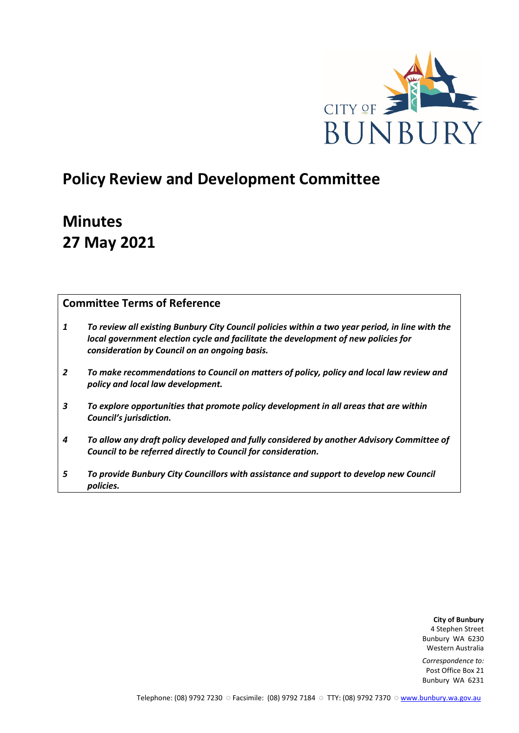

# **Policy Review and Development Committee**

# **Minutes 27 May 2021**

# **Committee Terms of Reference**

- *1 To review all existing Bunbury City Council policies within a two year period, in line with the local government election cycle and facilitate the development of new policies for consideration by Council on an ongoing basis.*
- *2 To make recommendations to Council on matters of policy, policy and local law review and policy and local law development.*
- *3 To explore opportunities that promote policy development in all areas that are within Council's jurisdiction.*
- *4 To allow any draft policy developed and fully considered by another Advisory Committee of Council to be referred directly to Council for consideration.*
- *5 To provide Bunbury City Councillors with assistance and support to develop new Council policies.*

**City of Bunbury** 4 Stephen Street Bunbury WA 6230 Western Australia

*Correspondence to:* Post Office Box 21 Bunbury WA 6231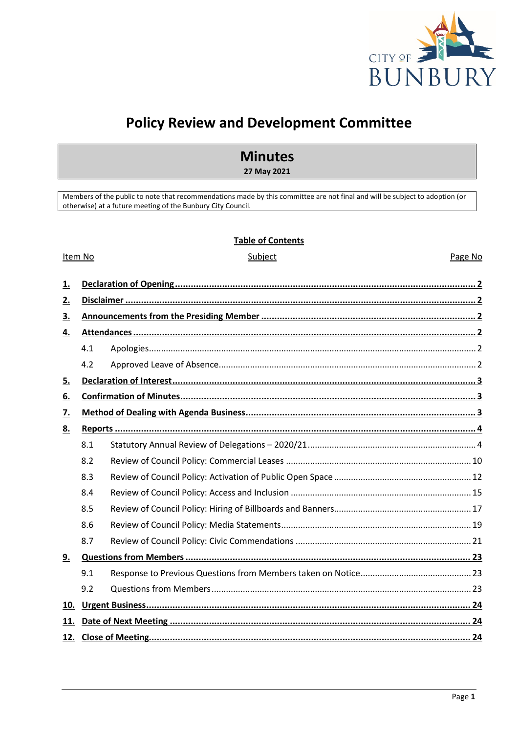

Page No

# **Policy Review and Development Committee**

# **Minutes**

27 May 2021

Members of the public to note that recommendations made by this committee are not final and will be subject to adoption (or otherwise) at a future meeting of the Bunbury City Council.

### **Table of Contents**

Subject

#### Item No

| <u>1.</u> |     |                      |  |  |  |  |
|-----------|-----|----------------------|--|--|--|--|
| <u>2.</u> |     |                      |  |  |  |  |
| <u>3.</u> |     |                      |  |  |  |  |
| <u>4.</u> |     |                      |  |  |  |  |
|           | 4.1 |                      |  |  |  |  |
|           | 4.2 |                      |  |  |  |  |
| <u>5.</u> |     |                      |  |  |  |  |
| <u>6.</u> |     |                      |  |  |  |  |
| <u>7.</u> |     |                      |  |  |  |  |
| 8.        |     |                      |  |  |  |  |
|           | 8.1 |                      |  |  |  |  |
|           | 8.2 |                      |  |  |  |  |
|           | 8.3 |                      |  |  |  |  |
|           | 8.4 |                      |  |  |  |  |
|           | 8.5 |                      |  |  |  |  |
|           | 8.6 |                      |  |  |  |  |
|           | 8.7 |                      |  |  |  |  |
| <u>9.</u> |     |                      |  |  |  |  |
|           | 9.1 |                      |  |  |  |  |
|           | 9.2 |                      |  |  |  |  |
| 10.       |     |                      |  |  |  |  |
| 11.       |     |                      |  |  |  |  |
|           |     | 12. Close of Meeting |  |  |  |  |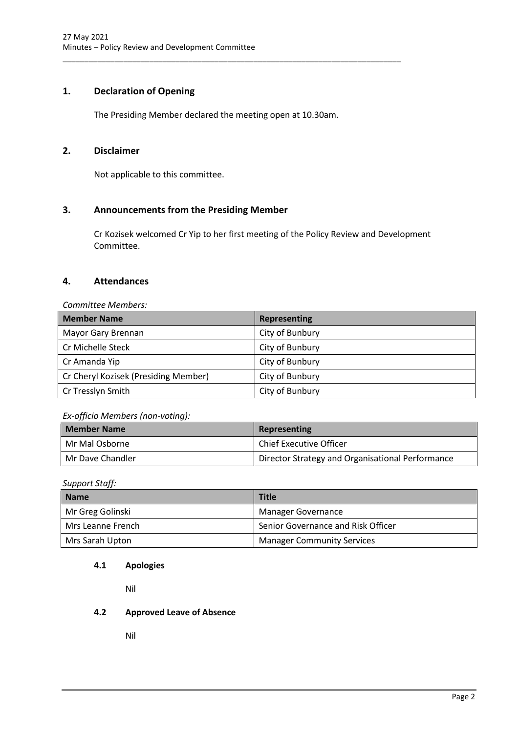# <span id="page-2-0"></span>**1. Declaration of Opening**

The Presiding Member declared the meeting open at 10.30am.

\_\_\_\_\_\_\_\_\_\_\_\_\_\_\_\_\_\_\_\_\_\_\_\_\_\_\_\_\_\_\_\_\_\_\_\_\_\_\_\_\_\_\_\_\_\_\_\_\_\_\_\_\_\_\_\_\_\_\_\_\_\_\_\_\_\_\_\_\_\_\_\_\_\_\_\_\_\_

# <span id="page-2-1"></span>**2. Disclaimer**

Not applicable to this committee.

# <span id="page-2-2"></span>**3. Announcements from the Presiding Member**

Cr Kozisek welcomed Cr Yip to her first meeting of the Policy Review and Development Committee.

# <span id="page-2-3"></span>**4. Attendances**

*Committee Members:*

| <b>Member Name</b>                   | <b>Representing</b> |
|--------------------------------------|---------------------|
| Mayor Gary Brennan                   | City of Bunbury     |
| Cr Michelle Steck                    | City of Bunbury     |
| Cr Amanda Yip                        | City of Bunbury     |
| Cr Cheryl Kozisek (Presiding Member) | City of Bunbury     |
| Cr Tresslyn Smith                    | City of Bunbury     |

# *Ex-officio Members (non-voting):*

| <b>Member Name</b> | Representing                                     |  |
|--------------------|--------------------------------------------------|--|
| l Mr Mal Osborne   | <b>Chief Executive Officer</b>                   |  |
| Mr Dave Chandler   | Director Strategy and Organisational Performance |  |

*Support Staff:*

| <b>Name</b>         | <b>Title</b>                       |
|---------------------|------------------------------------|
| Mr Greg Golinski    | <b>Manager Governance</b>          |
| l Mrs Leanne French | Senior Governance and Risk Officer |
| Mrs Sarah Upton     | <b>Manager Community Services</b>  |

# <span id="page-2-4"></span>**4.1 Apologies**

Nil

# <span id="page-2-5"></span>**4.2 Approved Leave of Absence**

Nil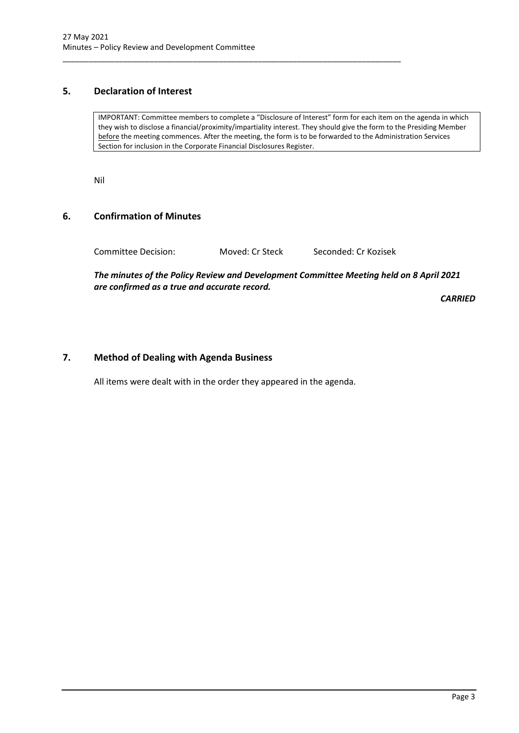# <span id="page-3-0"></span>**5. Declaration of Interest**

IMPORTANT: Committee members to complete a "Disclosure of Interest" form for each item on the agenda in which they wish to disclose a financial/proximity/impartiality interest. They should give the form to the Presiding Member before the meeting commences. After the meeting, the form is to be forwarded to the Administration Services Section for inclusion in the Corporate Financial Disclosures Register.

Nil

### <span id="page-3-1"></span>**6. Confirmation of Minutes**

Committee Decision: Moved: Cr Steck Seconded: Cr Kozisek

\_\_\_\_\_\_\_\_\_\_\_\_\_\_\_\_\_\_\_\_\_\_\_\_\_\_\_\_\_\_\_\_\_\_\_\_\_\_\_\_\_\_\_\_\_\_\_\_\_\_\_\_\_\_\_\_\_\_\_\_\_\_\_\_\_\_\_\_\_\_\_\_\_\_\_\_\_\_

*The minutes of the Policy Review and Development Committee Meeting held on 8 April 2021 are confirmed as a true and accurate record.*

*CARRIED*

# <span id="page-3-2"></span>**7. Method of Dealing with Agenda Business**

All items were dealt with in the order they appeared in the agenda.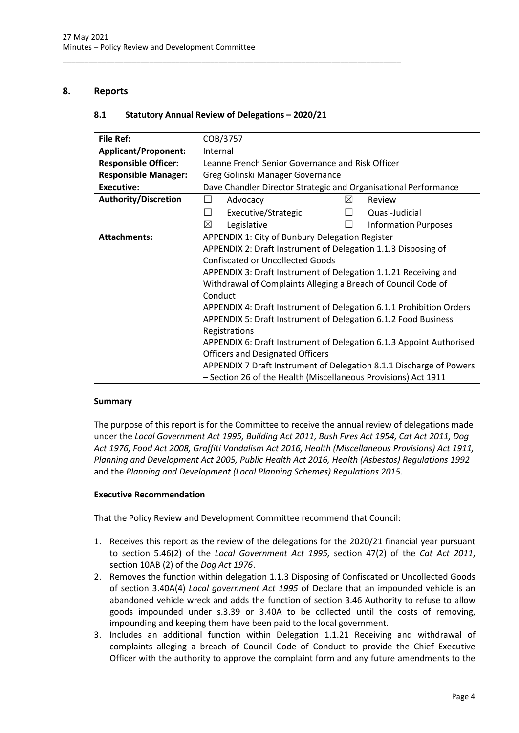# <span id="page-4-1"></span><span id="page-4-0"></span>**8. Reports**

# **8.1 Statutory Annual Review of Delegations – 2020/21**

\_\_\_\_\_\_\_\_\_\_\_\_\_\_\_\_\_\_\_\_\_\_\_\_\_\_\_\_\_\_\_\_\_\_\_\_\_\_\_\_\_\_\_\_\_\_\_\_\_\_\_\_\_\_\_\_\_\_\_\_\_\_\_\_\_\_\_\_\_\_\_\_\_\_\_\_\_\_

| File Ref:                   | COB/3757                                                            |   |                             |  |
|-----------------------------|---------------------------------------------------------------------|---|-----------------------------|--|
| <b>Applicant/Proponent:</b> | Internal                                                            |   |                             |  |
| <b>Responsible Officer:</b> | Leanne French Senior Governance and Risk Officer                    |   |                             |  |
| <b>Responsible Manager:</b> | Greg Golinski Manager Governance                                    |   |                             |  |
| <b>Executive:</b>           | Dave Chandler Director Strategic and Organisational Performance     |   |                             |  |
| <b>Authority/Discretion</b> | Advocacy                                                            | ⊠ | Review                      |  |
|                             | Executive/Strategic<br>$\mathsf{L}$                                 |   | Quasi-Judicial              |  |
|                             | ⊠<br>Legislative                                                    |   | <b>Information Purposes</b> |  |
| <b>Attachments:</b>         | APPENDIX 1: City of Bunbury Delegation Register                     |   |                             |  |
|                             | APPENDIX 2: Draft Instrument of Delegation 1.1.3 Disposing of       |   |                             |  |
|                             | <b>Confiscated or Uncollected Goods</b>                             |   |                             |  |
|                             | APPENDIX 3: Draft Instrument of Delegation 1.1.21 Receiving and     |   |                             |  |
|                             | Withdrawal of Complaints Alleging a Breach of Council Code of       |   |                             |  |
|                             | Conduct                                                             |   |                             |  |
|                             | APPENDIX 4: Draft Instrument of Delegation 6.1.1 Prohibition Orders |   |                             |  |
|                             | APPENDIX 5: Draft Instrument of Delegation 6.1.2 Food Business      |   |                             |  |
|                             | Registrations                                                       |   |                             |  |
|                             | APPENDIX 6: Draft Instrument of Delegation 6.1.3 Appoint Authorised |   |                             |  |
|                             | <b>Officers and Designated Officers</b>                             |   |                             |  |
|                             | APPENDIX 7 Draft Instrument of Delegation 8.1.1 Discharge of Powers |   |                             |  |
|                             | - Section 26 of the Health (Miscellaneous Provisions) Act 1911      |   |                             |  |

# **Summary**

The purpose of this report is for the Committee to receive the annual review of delegations made under the *Local Government Act 1995, Building Act 2011, Bush Fires Act 1954, Cat Act 2011, Dog Act 1976, Food Act 2008, Graffiti Vandalism Act 2016, Health (Miscellaneous Provisions) Act 1911, Planning and Development Act 2005, Public Health Act 2016, Health (Asbestos) Regulations 1992*  and the *Planning and Development (Local Planning Schemes) Regulations 2015*.

#### **Executive Recommendation**

That the Policy Review and Development Committee recommend that Council:

- 1. Receives this report as the review of the delegations for the 2020/21 financial year pursuant to section 5.46(2) of the *Local Government Act 1995,* section 47(2) of the *Cat Act 2011*, section 10AB (2) of the *Dog Act 1976*.
- 2. Removes the function within delegation 1.1.3 Disposing of Confiscated or Uncollected Goods of section 3.40A(4) *Local government Act 1995* of Declare that an impounded vehicle is an abandoned vehicle wreck and adds the function of section 3.46 Authority to refuse to allow goods impounded under s.3.39 or 3.40A to be collected until the costs of removing, impounding and keeping them have been paid to the local government.
- 3. Includes an additional function within Delegation 1.1.21 Receiving and withdrawal of complaints alleging a breach of Council Code of Conduct to provide the Chief Executive Officer with the authority to approve the complaint form and any future amendments to the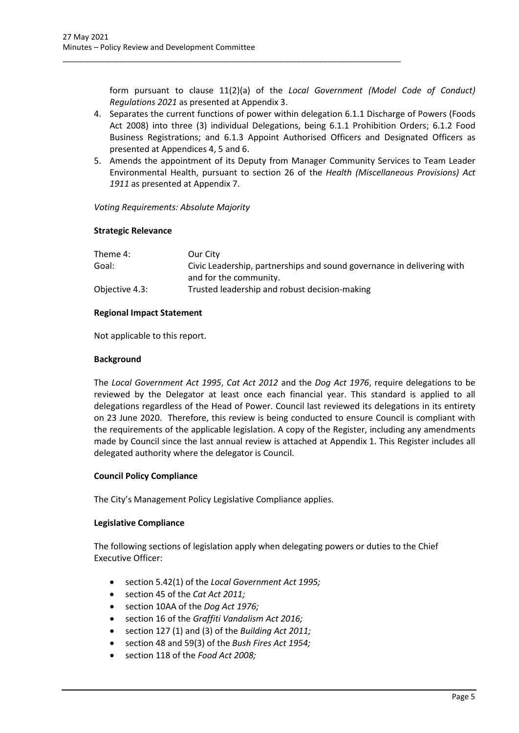form pursuant to clause 11(2)(a) of the *Local Government (Model Code of Conduct) Regulations 2021* as presented at Appendix 3.

4. Separates the current functions of power within delegation 6.1.1 Discharge of Powers (Foods Act 2008) into three (3) individual Delegations, being 6.1.1 Prohibition Orders; 6.1.2 Food Business Registrations; and 6.1.3 Appoint Authorised Officers and Designated Officers as presented at Appendices 4, 5 and 6.

\_\_\_\_\_\_\_\_\_\_\_\_\_\_\_\_\_\_\_\_\_\_\_\_\_\_\_\_\_\_\_\_\_\_\_\_\_\_\_\_\_\_\_\_\_\_\_\_\_\_\_\_\_\_\_\_\_\_\_\_\_\_\_\_\_\_\_\_\_\_\_\_\_\_\_\_\_\_

5. Amends the appointment of its Deputy from Manager Community Services to Team Leader Environmental Health, pursuant to section 26 of the *Health (Miscellaneous Provisions) Act 1911* as presented at Appendix 7.

*Voting Requirements: Absolute Majority*

#### **Strategic Relevance**

| Theme 4:       | Our City                                                               |
|----------------|------------------------------------------------------------------------|
| Goal:          | Civic Leadership, partnerships and sound governance in delivering with |
|                | and for the community.                                                 |
| Objective 4.3: | Trusted leadership and robust decision-making                          |

### **Regional Impact Statement**

Not applicable to this report.

### **Background**

The *Local Government Act 1995*, *Cat Act 2012* and the *Dog Act 1976*, require delegations to be reviewed by the Delegator at least once each financial year. This standard is applied to all delegations regardless of the Head of Power. Council last reviewed its delegations in its entirety on 23 June 2020. Therefore, this review is being conducted to ensure Council is compliant with the requirements of the applicable legislation. A copy of the Register, including any amendments made by Council since the last annual review is attached at Appendix 1. This Register includes all delegated authority where the delegator is Council.

# **Council Policy Compliance**

The City's Management Policy Legislative Compliance applies.

#### **Legislative Compliance**

The following sections of legislation apply when delegating powers or duties to the Chief Executive Officer:

- section 5.42(1) of the *Local Government Act 1995;*
- section 45 of the *Cat Act 2011;*
- section 10AA of the *Dog Act 1976;*
- section 16 of the *Graffiti Vandalism Act 2016;*
- section 127 (1) and (3) of the *Building Act 2011;*
- section 48 and 59(3) of the *Bush Fires Act 1954;*
- section 118 of the *Food Act 2008;*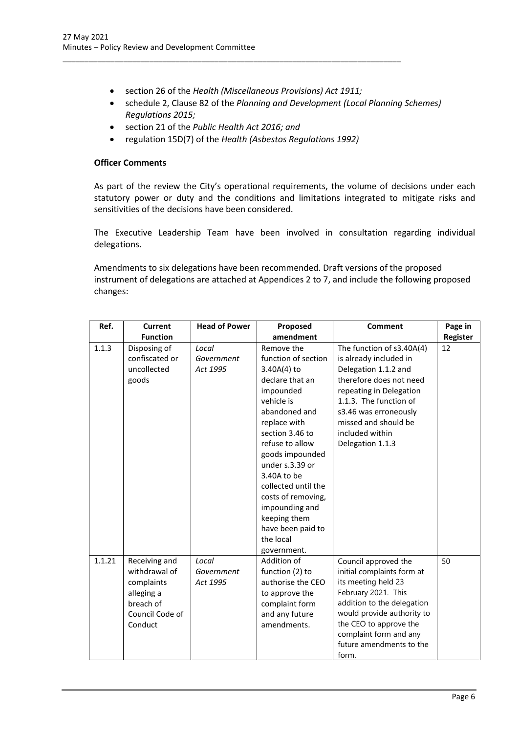• section 26 of the *Health (Miscellaneous Provisions) Act 1911;*

\_\_\_\_\_\_\_\_\_\_\_\_\_\_\_\_\_\_\_\_\_\_\_\_\_\_\_\_\_\_\_\_\_\_\_\_\_\_\_\_\_\_\_\_\_\_\_\_\_\_\_\_\_\_\_\_\_\_\_\_\_\_\_\_\_\_\_\_\_\_\_\_\_\_\_\_\_\_

- schedule 2, Clause 82 of the *Planning and Development (Local Planning Schemes) Regulations 2015;*
- section 21 of the *Public Health Act 2016; and*
- regulation 15D(7) of the *Health (Asbestos Regulations 1992)*

#### **Officer Comments**

As part of the review the City's operational requirements, the volume of decisions under each statutory power or duty and the conditions and limitations integrated to mitigate risks and sensitivities of the decisions have been considered.

The Executive Leadership Team have been involved in consultation regarding individual delegations.

Amendments to six delegations have been recommended. Draft versions of the proposed instrument of delegations are attached at Appendices 2 to 7, and include the following proposed changes:

| Ref.   | <b>Current</b>                                                                                        | <b>Head of Power</b>            | Proposed                                                                                                                                                                                                                                                                                                                                                   | <b>Comment</b>                                                                                                                                                                                                                                        | Page in  |
|--------|-------------------------------------------------------------------------------------------------------|---------------------------------|------------------------------------------------------------------------------------------------------------------------------------------------------------------------------------------------------------------------------------------------------------------------------------------------------------------------------------------------------------|-------------------------------------------------------------------------------------------------------------------------------------------------------------------------------------------------------------------------------------------------------|----------|
|        | <b>Function</b>                                                                                       |                                 | amendment                                                                                                                                                                                                                                                                                                                                                  |                                                                                                                                                                                                                                                       | Register |
| 1.1.3  | Disposing of<br>confiscated or<br>uncollected<br>goods                                                | Local<br>Government<br>Act 1995 | Remove the<br>function of section<br>3.40A(4) to<br>declare that an<br>impounded<br>vehicle is<br>abandoned and<br>replace with<br>section 3.46 to<br>refuse to allow<br>goods impounded<br>under s.3.39 or<br>3.40A to be<br>collected until the<br>costs of removing,<br>impounding and<br>keeping them<br>have been paid to<br>the local<br>government. | The function of s3.40A(4)<br>is already included in<br>Delegation 1.1.2 and<br>therefore does not need<br>repeating in Delegation<br>1.1.3. The function of<br>s3.46 was erroneously<br>missed and should be<br>included within<br>Delegation 1.1.3   | 12       |
| 1.1.21 | Receiving and<br>withdrawal of<br>complaints<br>alleging a<br>breach of<br>Council Code of<br>Conduct | Local<br>Government<br>Act 1995 | Addition of<br>function (2) to<br>authorise the CEO<br>to approve the<br>complaint form<br>and any future<br>amendments.                                                                                                                                                                                                                                   | Council approved the<br>initial complaints form at<br>its meeting held 23<br>February 2021. This<br>addition to the delegation<br>would provide authority to<br>the CEO to approve the<br>complaint form and any<br>future amendments to the<br>form. | 50       |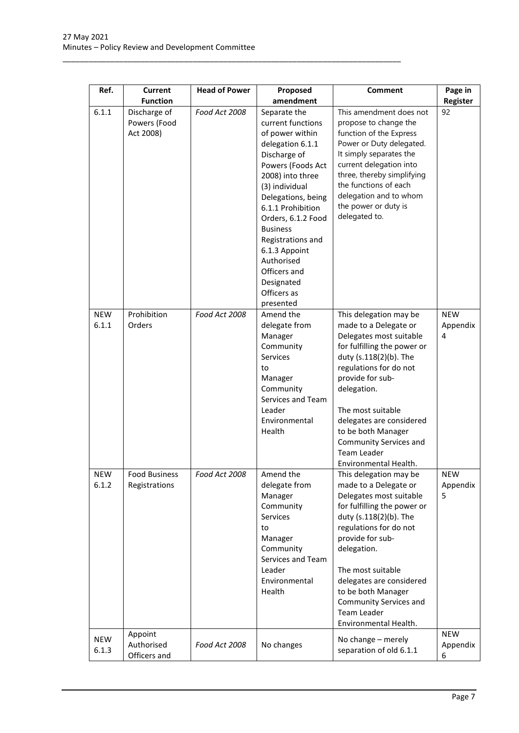\_\_\_\_\_\_\_\_\_\_\_\_\_\_\_\_\_\_\_\_\_\_\_\_\_\_\_\_\_\_\_\_\_\_\_\_\_\_\_\_\_\_\_\_\_\_\_\_\_\_\_\_\_\_\_\_\_\_\_\_\_\_\_\_\_\_\_\_\_\_\_\_\_\_\_\_\_\_

| Ref.                | <b>Current</b>                            | <b>Head of Power</b> | Proposed                                                                                                                                                                                                                                                                                                                                              | <b>Comment</b>                                                                                                                                                                                                                                                                                                                                   | Page in                     |
|---------------------|-------------------------------------------|----------------------|-------------------------------------------------------------------------------------------------------------------------------------------------------------------------------------------------------------------------------------------------------------------------------------------------------------------------------------------------------|--------------------------------------------------------------------------------------------------------------------------------------------------------------------------------------------------------------------------------------------------------------------------------------------------------------------------------------------------|-----------------------------|
|                     | <b>Function</b>                           |                      | amendment                                                                                                                                                                                                                                                                                                                                             |                                                                                                                                                                                                                                                                                                                                                  | Register                    |
| 6.1.1               | Discharge of<br>Powers (Food<br>Act 2008) | Food Act 2008        | Separate the<br>current functions<br>of power within<br>delegation 6.1.1<br>Discharge of<br>Powers (Foods Act<br>2008) into three<br>(3) individual<br>Delegations, being<br>6.1.1 Prohibition<br>Orders, 6.1.2 Food<br><b>Business</b><br>Registrations and<br>6.1.3 Appoint<br>Authorised<br>Officers and<br>Designated<br>Officers as<br>presented | This amendment does not<br>propose to change the<br>function of the Express<br>Power or Duty delegated.<br>It simply separates the<br>current delegation into<br>three, thereby simplifying<br>the functions of each<br>delegation and to whom<br>the power or duty is<br>delegated to.                                                          | 92                          |
| <b>NEW</b><br>6.1.1 | Prohibition<br>Orders                     | Food Act 2008        | Amend the<br>delegate from<br>Manager<br>Community<br>Services<br>to<br>Manager<br>Community<br>Services and Team<br>Leader<br>Environmental<br>Health                                                                                                                                                                                                | This delegation may be<br>made to a Delegate or<br>Delegates most suitable<br>for fulfilling the power or<br>duty (s.118(2)(b). The<br>regulations for do not<br>provide for sub-<br>delegation.<br>The most suitable<br>delegates are considered<br>to be both Manager<br>Community Services and<br><b>Team Leader</b><br>Environmental Health. | <b>NEW</b><br>Appendix<br>4 |
| <b>NEW</b><br>6.1.2 | <b>Food Business</b><br>Registrations     | Food Act 2008        | Amend the<br>delegate from<br>Manager<br>Community<br>Services<br>to<br>Manager<br>Community<br>Services and Team<br>Leader<br>Environmental<br>Health                                                                                                                                                                                                | This delegation may be<br>made to a Delegate or<br>Delegates most suitable<br>for fulfilling the power or<br>duty (s.118(2)(b). The<br>regulations for do not<br>provide for sub-<br>delegation.<br>The most suitable<br>delegates are considered<br>to be both Manager<br>Community Services and<br><b>Team Leader</b><br>Environmental Health. | <b>NEW</b><br>Appendix<br>5 |
| <b>NEW</b><br>6.1.3 | Appoint<br>Authorised<br>Officers and     | Food Act 2008        | No changes                                                                                                                                                                                                                                                                                                                                            | No change - merely<br>separation of old 6.1.1                                                                                                                                                                                                                                                                                                    | <b>NEW</b><br>Appendix<br>6 |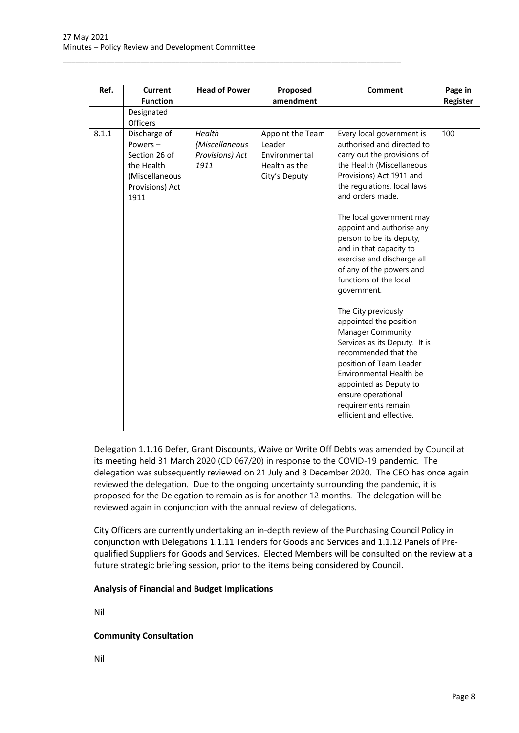\_\_\_\_\_\_\_\_\_\_\_\_\_\_\_\_\_\_\_\_\_\_\_\_\_\_\_\_\_\_\_\_\_\_\_\_\_\_\_\_\_\_\_\_\_\_\_\_\_\_\_\_\_\_\_\_\_\_\_\_\_\_\_\_\_\_\_\_\_\_\_\_\_\_\_\_\_\_

| Ref.  | <b>Current</b><br><b>Function</b>                                                                   | <b>Head of Power</b>                                | Proposed<br>amendment                                                         | <b>Comment</b>                                                                                                                                                                                                                                                                                                                                                                                                        | Page in<br>Register |
|-------|-----------------------------------------------------------------------------------------------------|-----------------------------------------------------|-------------------------------------------------------------------------------|-----------------------------------------------------------------------------------------------------------------------------------------------------------------------------------------------------------------------------------------------------------------------------------------------------------------------------------------------------------------------------------------------------------------------|---------------------|
|       | Designated<br><b>Officers</b>                                                                       |                                                     |                                                                               |                                                                                                                                                                                                                                                                                                                                                                                                                       |                     |
| 8.1.1 | Discharge of<br>Powers-<br>Section 26 of<br>the Health<br>(Miscellaneous<br>Provisions) Act<br>1911 | Health<br>(Miscellaneous<br>Provisions) Act<br>1911 | Appoint the Team<br>Leader<br>Environmental<br>Health as the<br>City's Deputy | Every local government is<br>authorised and directed to<br>carry out the provisions of<br>the Health (Miscellaneous<br>Provisions) Act 1911 and<br>the regulations, local laws<br>and orders made.<br>The local government may<br>appoint and authorise any<br>person to be its deputy,<br>and in that capacity to<br>exercise and discharge all<br>of any of the powers and<br>functions of the local<br>government. | 100                 |
|       |                                                                                                     |                                                     |                                                                               | The City previously<br>appointed the position<br><b>Manager Community</b><br>Services as its Deputy. It is<br>recommended that the<br>position of Team Leader<br>Environmental Health be<br>appointed as Deputy to<br>ensure operational<br>requirements remain<br>efficient and effective.                                                                                                                           |                     |

Delegation 1.1.16 Defer, Grant Discounts, Waive or Write Off Debts was amended by Council at its meeting held 31 March 2020 (CD 067/20) in response to the COVID-19 pandemic. The delegation was subsequently reviewed on 21 July and 8 December 2020. The CEO has once again reviewed the delegation. Due to the ongoing uncertainty surrounding the pandemic, it is proposed for the Delegation to remain as is for another 12 months. The delegation will be reviewed again in conjunction with the annual review of delegations.

City Officers are currently undertaking an in-depth review of the Purchasing Council Policy in conjunction with Delegations 1.1.11 Tenders for Goods and Services and 1.1.12 Panels of Prequalified Suppliers for Goods and Services. Elected Members will be consulted on the review at a future strategic briefing session, prior to the items being considered by Council.

#### **Analysis of Financial and Budget Implications**

Nil

# **Community Consultation**

Nil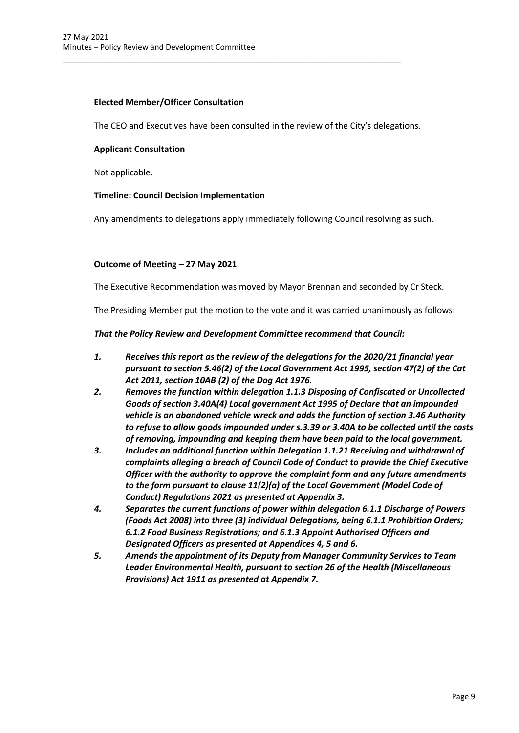### **Elected Member/Officer Consultation**

The CEO and Executives have been consulted in the review of the City's delegations.

\_\_\_\_\_\_\_\_\_\_\_\_\_\_\_\_\_\_\_\_\_\_\_\_\_\_\_\_\_\_\_\_\_\_\_\_\_\_\_\_\_\_\_\_\_\_\_\_\_\_\_\_\_\_\_\_\_\_\_\_\_\_\_\_\_\_\_\_\_\_\_\_\_\_\_\_\_\_

#### **Applicant Consultation**

Not applicable.

### **Timeline: Council Decision Implementation**

Any amendments to delegations apply immediately following Council resolving as such.

### **Outcome of Meeting – 27 May 2021**

The Executive Recommendation was moved by Mayor Brennan and seconded by Cr Steck.

The Presiding Member put the motion to the vote and it was carried unanimously as follows:

#### *That the Policy Review and Development Committee recommend that Council:*

- *1. Receives this report as the review of the delegations for the 2020/21 financial year pursuant to section 5.46(2) of the Local Government Act 1995, section 47(2) of the Cat Act 2011, section 10AB (2) of the Dog Act 1976.*
- *2. Removes the function within delegation 1.1.3 Disposing of Confiscated or Uncollected Goods of section 3.40A(4) Local government Act 1995 of Declare that an impounded vehicle is an abandoned vehicle wreck and adds the function of section 3.46 Authority to refuse to allow goods impounded under s.3.39 or 3.40A to be collected until the costs of removing, impounding and keeping them have been paid to the local government.*
- *3. Includes an additional function within Delegation 1.1.21 Receiving and withdrawal of complaints alleging a breach of Council Code of Conduct to provide the Chief Executive Officer with the authority to approve the complaint form and any future amendments to the form pursuant to clause 11(2)(a) of the Local Government (Model Code of Conduct) Regulations 2021 as presented at Appendix 3.*
- *4. Separates the current functions of power within delegation 6.1.1 Discharge of Powers (Foods Act 2008) into three (3) individual Delegations, being 6.1.1 Prohibition Orders; 6.1.2 Food Business Registrations; and 6.1.3 Appoint Authorised Officers and Designated Officers as presented at Appendices 4, 5 and 6.*
- *5. Amends the appointment of its Deputy from Manager Community Services to Team Leader Environmental Health, pursuant to section 26 of the Health (Miscellaneous Provisions) Act 1911 as presented at Appendix 7.*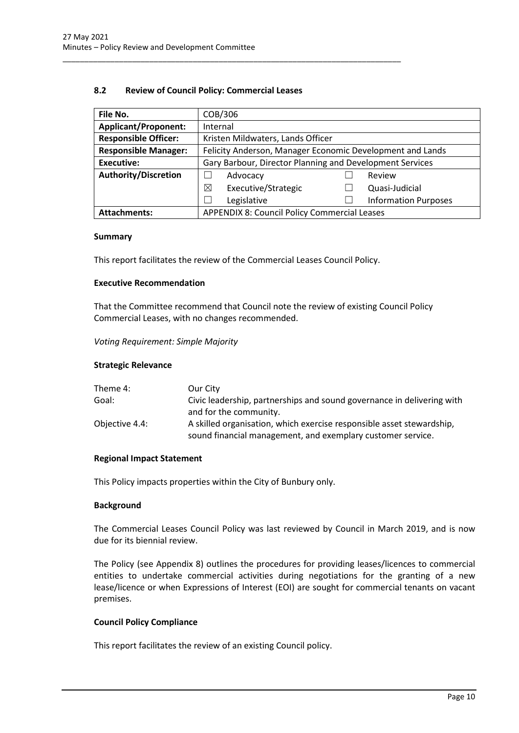#### **8.2 Review of Council Policy: Commercial Leases**

<span id="page-10-0"></span>\_\_\_\_\_\_\_\_\_\_\_\_\_\_\_\_\_\_\_\_\_\_\_\_\_\_\_\_\_\_\_\_\_\_\_\_\_\_\_\_\_\_\_\_\_\_\_\_\_\_\_\_\_\_\_\_\_\_\_\_\_\_\_\_\_\_\_\_\_\_\_\_\_\_\_\_\_\_

| File No.                                                                   | COB/306                                                   |  |                             |  |  |
|----------------------------------------------------------------------------|-----------------------------------------------------------|--|-----------------------------|--|--|
| <b>Applicant/Proponent:</b>                                                | Internal                                                  |  |                             |  |  |
| <b>Responsible Officer:</b>                                                | Kristen Mildwaters, Lands Officer                         |  |                             |  |  |
| <b>Responsible Manager:</b>                                                | Felicity Anderson, Manager Economic Development and Lands |  |                             |  |  |
| <b>Executive:</b>                                                          | Gary Barbour, Director Planning and Development Services  |  |                             |  |  |
| <b>Authority/Discretion</b>                                                | Advocacy<br>Review                                        |  |                             |  |  |
|                                                                            | ⊠<br>Executive/Strategic                                  |  | Quasi-Judicial              |  |  |
| Legislative                                                                |                                                           |  | <b>Information Purposes</b> |  |  |
| <b>APPENDIX 8: Council Policy Commercial Leases</b><br><b>Attachments:</b> |                                                           |  |                             |  |  |

#### **Summary**

This report facilitates the review of the Commercial Leases Council Policy.

#### **Executive Recommendation**

That the Committee recommend that Council note the review of existing Council Policy Commercial Leases, with no changes recommended.

#### *Voting Requirement: Simple Majority*

#### **Strategic Relevance**

| Theme 4:       | Our City                                                                                                                             |
|----------------|--------------------------------------------------------------------------------------------------------------------------------------|
| Goal:          | Civic leadership, partnerships and sound governance in delivering with                                                               |
|                | and for the community.                                                                                                               |
| Objective 4.4: | A skilled organisation, which exercise responsible asset stewardship,<br>sound financial management, and exemplary customer service. |

#### **Regional Impact Statement**

This Policy impacts properties within the City of Bunbury only.

#### **Background**

The Commercial Leases Council Policy was last reviewed by Council in March 2019, and is now due for its biennial review.

The Policy (see Appendix 8) outlines the procedures for providing leases/licences to commercial entities to undertake commercial activities during negotiations for the granting of a new lease/licence or when Expressions of Interest (EOI) are sought for commercial tenants on vacant premises.

#### **Council Policy Compliance**

This report facilitates the review of an existing Council policy.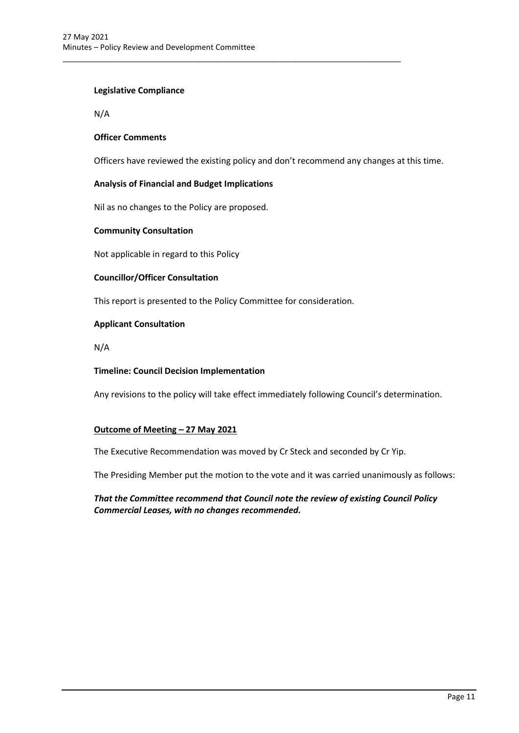# **Legislative Compliance**

N/A

### **Officer Comments**

Officers have reviewed the existing policy and don't recommend any changes at this time.

#### **Analysis of Financial and Budget Implications**

Nil as no changes to the Policy are proposed.

#### **Community Consultation**

Not applicable in regard to this Policy

### **Councillor/Officer Consultation**

This report is presented to the Policy Committee for consideration.

\_\_\_\_\_\_\_\_\_\_\_\_\_\_\_\_\_\_\_\_\_\_\_\_\_\_\_\_\_\_\_\_\_\_\_\_\_\_\_\_\_\_\_\_\_\_\_\_\_\_\_\_\_\_\_\_\_\_\_\_\_\_\_\_\_\_\_\_\_\_\_\_\_\_\_\_\_\_

### **Applicant Consultation**

N/A

#### **Timeline: Council Decision Implementation**

Any revisions to the policy will take effect immediately following Council's determination.

#### **Outcome of Meeting – 27 May 2021**

The Executive Recommendation was moved by Cr Steck and seconded by Cr Yip.

The Presiding Member put the motion to the vote and it was carried unanimously as follows:

*That the Committee recommend that Council note the review of existing Council Policy Commercial Leases, with no changes recommended.*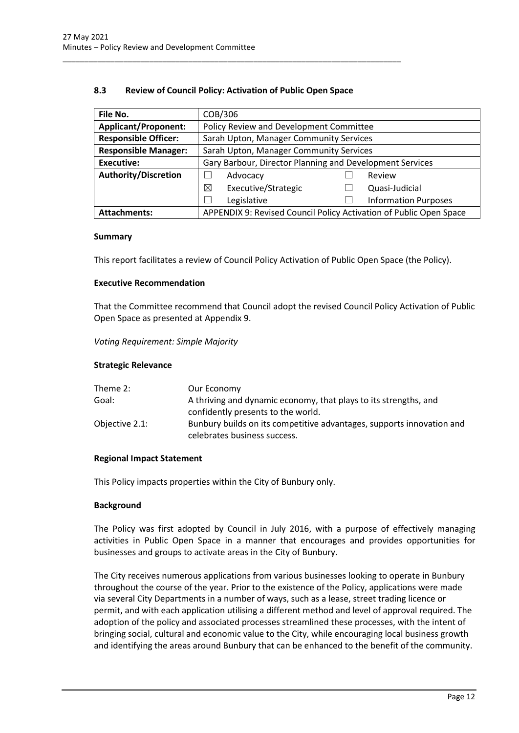### **8.3 Review of Council Policy: Activation of Public Open Space**

<span id="page-12-0"></span>\_\_\_\_\_\_\_\_\_\_\_\_\_\_\_\_\_\_\_\_\_\_\_\_\_\_\_\_\_\_\_\_\_\_\_\_\_\_\_\_\_\_\_\_\_\_\_\_\_\_\_\_\_\_\_\_\_\_\_\_\_\_\_\_\_\_\_\_\_\_\_\_\_\_\_\_\_\_

| File No.                                                               | COB/306                                                            |                                         |                |  |  |
|------------------------------------------------------------------------|--------------------------------------------------------------------|-----------------------------------------|----------------|--|--|
| <b>Applicant/Proponent:</b>                                            | Policy Review and Development Committee                            |                                         |                |  |  |
| <b>Responsible Officer:</b><br>Sarah Upton, Manager Community Services |                                                                    |                                         |                |  |  |
| <b>Responsible Manager:</b>                                            |                                                                    | Sarah Upton, Manager Community Services |                |  |  |
| <b>Executive:</b>                                                      | Gary Barbour, Director Planning and Development Services           |                                         |                |  |  |
| <b>Authority/Discretion</b>                                            | Advocacy<br>Review                                                 |                                         |                |  |  |
|                                                                        | Executive/Strategic<br>⊠                                           |                                         | Quasi-Judicial |  |  |
|                                                                        | Legislative<br><b>Information Purposes</b>                         |                                         |                |  |  |
| <b>Attachments:</b>                                                    | APPENDIX 9: Revised Council Policy Activation of Public Open Space |                                         |                |  |  |

#### **Summary**

This report facilitates a review of Council Policy Activation of Public Open Space (the Policy).

#### **Executive Recommendation**

That the Committee recommend that Council adopt the revised Council Policy Activation of Public Open Space as presented at Appendix 9.

#### *Voting Requirement: Simple Majority*

#### **Strategic Relevance**

| Theme 2:       | Our Economy                                                                                           |
|----------------|-------------------------------------------------------------------------------------------------------|
| Goal:          | A thriving and dynamic economy, that plays to its strengths, and                                      |
|                | confidently presents to the world.                                                                    |
| Objective 2.1: | Bunbury builds on its competitive advantages, supports innovation and<br>celebrates business success. |

#### **Regional Impact Statement**

This Policy impacts properties within the City of Bunbury only.

#### **Background**

The Policy was first adopted by Council in July 2016, with a purpose of effectively managing activities in Public Open Space in a manner that encourages and provides opportunities for businesses and groups to activate areas in the City of Bunbury.

The City receives numerous applications from various businesses looking to operate in Bunbury throughout the course of the year. Prior to the existence of the Policy, applications were made via several City Departments in a number of ways, such as a lease, street trading licence or permit, and with each application utilising a different method and level of approval required. The adoption of the policy and associated processes streamlined these processes, with the intent of bringing social, cultural and economic value to the City, while encouraging local business growth and identifying the areas around Bunbury that can be enhanced to the benefit of the community.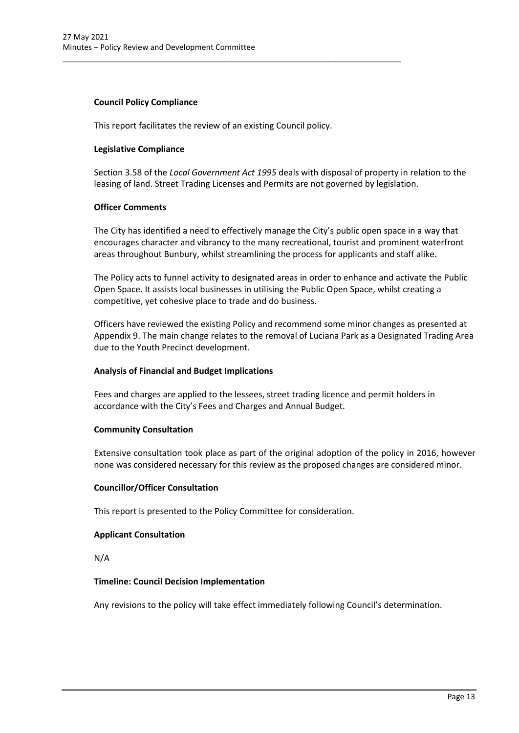# **Council Policy Compliance**

This report facilitates the review of an existing Council policy.

\_\_\_\_\_\_\_\_\_\_\_\_\_\_\_\_\_\_\_\_\_\_\_\_\_\_\_\_\_\_\_\_\_\_\_\_\_\_\_\_\_\_\_\_\_\_\_\_\_\_\_\_\_\_\_\_\_\_\_\_\_\_\_\_\_\_\_\_\_\_\_\_\_\_\_\_\_\_

#### **Legislative Compliance**

Section 3.58 of the *Local Government Act 1995* deals with disposal of property in relation to the leasing of land. Street Trading Licenses and Permits are not governed by legislation.

#### **Officer Comments**

The City has identified a need to effectively manage the City's public open space in a way that encourages character and vibrancy to the many recreational, tourist and prominent waterfront areas throughout Bunbury, whilst streamlining the process for applicants and staff alike.

The Policy acts to funnel activity to designated areas in order to enhance and activate the Public Open Space. It assists local businesses in utilising the Public Open Space, whilst creating a competitive, yet cohesive place to trade and do business.

Officers have reviewed the existing Policy and recommend some minor changes as presented at Appendix 9. The main change relates to the removal of Luciana Park as a Designated Trading Area due to the Youth Precinct development.

#### **Analysis of Financial and Budget Implications**

Fees and charges are applied to the lessees, street trading licence and permit holders in accordance with the City's Fees and Charges and Annual Budget.

#### **Community Consultation**

Extensive consultation took place as part of the original adoption of the policy in 2016, however none was considered necessary for this review as the proposed changes are considered minor.

#### **Councillor/Officer Consultation**

This report is presented to the Policy Committee for consideration.

#### **Applicant Consultation**

N/A

#### **Timeline: Council Decision Implementation**

Any revisions to the policy will take effect immediately following Council's determination.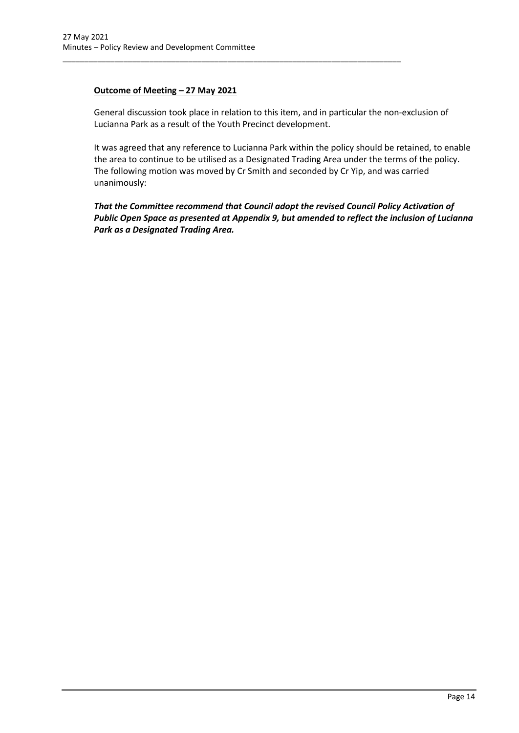# **Outcome of Meeting – 27 May 2021**

General discussion took place in relation to this item, and in particular the non-exclusion of Lucianna Park as a result of the Youth Precinct development.

\_\_\_\_\_\_\_\_\_\_\_\_\_\_\_\_\_\_\_\_\_\_\_\_\_\_\_\_\_\_\_\_\_\_\_\_\_\_\_\_\_\_\_\_\_\_\_\_\_\_\_\_\_\_\_\_\_\_\_\_\_\_\_\_\_\_\_\_\_\_\_\_\_\_\_\_\_\_

It was agreed that any reference to Lucianna Park within the policy should be retained, to enable the area to continue to be utilised as a Designated Trading Area under the terms of the policy. The following motion was moved by Cr Smith and seconded by Cr Yip, and was carried unanimously:

*That the Committee recommend that Council adopt the revised Council Policy Activation of Public Open Space as presented at Appendix 9, but amended to reflect the inclusion of Lucianna Park as a Designated Trading Area.*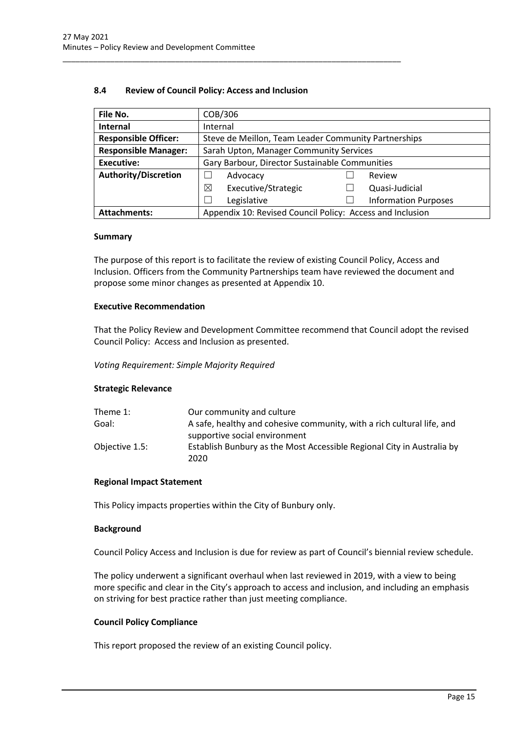### **8.4 Review of Council Policy: Access and Inclusion**

<span id="page-15-0"></span>\_\_\_\_\_\_\_\_\_\_\_\_\_\_\_\_\_\_\_\_\_\_\_\_\_\_\_\_\_\_\_\_\_\_\_\_\_\_\_\_\_\_\_\_\_\_\_\_\_\_\_\_\_\_\_\_\_\_\_\_\_\_\_\_\_\_\_\_\_\_\_\_\_\_\_\_\_\_

| File No.                    |                                                           | COB/306                                        |  |                             |
|-----------------------------|-----------------------------------------------------------|------------------------------------------------|--|-----------------------------|
| Internal                    |                                                           | Internal                                       |  |                             |
| <b>Responsible Officer:</b> | Steve de Meillon, Team Leader Community Partnerships      |                                                |  |                             |
| <b>Responsible Manager:</b> | Sarah Upton, Manager Community Services                   |                                                |  |                             |
| <b>Executive:</b>           |                                                           | Gary Barbour, Director Sustainable Communities |  |                             |
| <b>Authority/Discretion</b> |                                                           | Advocacy                                       |  | Review                      |
|                             | ⊠                                                         | Executive/Strategic                            |  | Quasi-Judicial              |
|                             |                                                           | Legislative                                    |  | <b>Information Purposes</b> |
| <b>Attachments:</b>         | Appendix 10: Revised Council Policy: Access and Inclusion |                                                |  |                             |

#### **Summary**

The purpose of this report is to facilitate the review of existing Council Policy, Access and Inclusion. Officers from the Community Partnerships team have reviewed the document and propose some minor changes as presented at Appendix 10.

#### **Executive Recommendation**

That the Policy Review and Development Committee recommend that Council adopt the revised Council Policy: Access and Inclusion as presented.

*Voting Requirement: Simple Majority Required*

#### **Strategic Relevance**

| Our community and culture                                              |
|------------------------------------------------------------------------|
| A safe, healthy and cohesive community, with a rich cultural life, and |
| supportive social environment                                          |
| Establish Bunbury as the Most Accessible Regional City in Australia by |
| 2020                                                                   |
|                                                                        |

#### **Regional Impact Statement**

This Policy impacts properties within the City of Bunbury only.

#### **Background**

Council Policy Access and Inclusion is due for review as part of Council's biennial review schedule.

The policy underwent a significant overhaul when last reviewed in 2019, with a view to being more specific and clear in the City's approach to access and inclusion, and including an emphasis on striving for best practice rather than just meeting compliance.

#### **Council Policy Compliance**

This report proposed the review of an existing Council policy.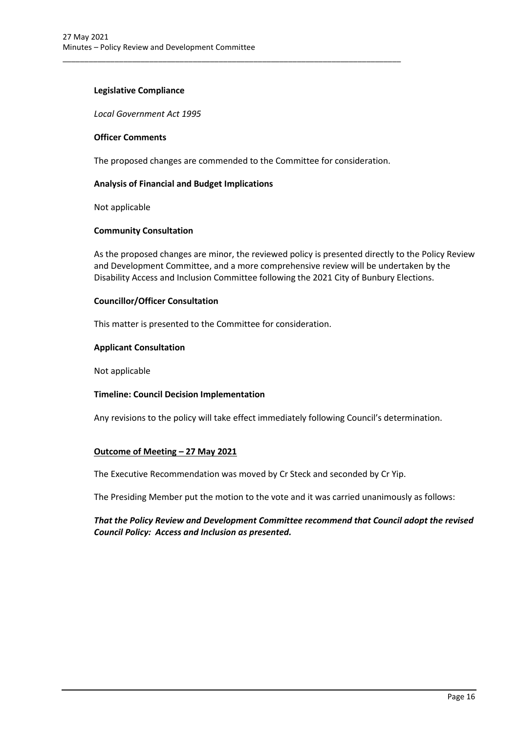#### **Legislative Compliance**

*Local Government Act 1995*

#### **Officer Comments**

The proposed changes are commended to the Committee for consideration.

\_\_\_\_\_\_\_\_\_\_\_\_\_\_\_\_\_\_\_\_\_\_\_\_\_\_\_\_\_\_\_\_\_\_\_\_\_\_\_\_\_\_\_\_\_\_\_\_\_\_\_\_\_\_\_\_\_\_\_\_\_\_\_\_\_\_\_\_\_\_\_\_\_\_\_\_\_\_

#### **Analysis of Financial and Budget Implications**

Not applicable

#### **Community Consultation**

As the proposed changes are minor, the reviewed policy is presented directly to the Policy Review and Development Committee, and a more comprehensive review will be undertaken by the Disability Access and Inclusion Committee following the 2021 City of Bunbury Elections.

#### **Councillor/Officer Consultation**

This matter is presented to the Committee for consideration.

#### **Applicant Consultation**

Not applicable

#### **Timeline: Council Decision Implementation**

Any revisions to the policy will take effect immediately following Council's determination.

#### **Outcome of Meeting – 27 May 2021**

The Executive Recommendation was moved by Cr Steck and seconded by Cr Yip.

The Presiding Member put the motion to the vote and it was carried unanimously as follows:

# *That the Policy Review and Development Committee recommend that Council adopt the revised Council Policy: Access and Inclusion as presented.*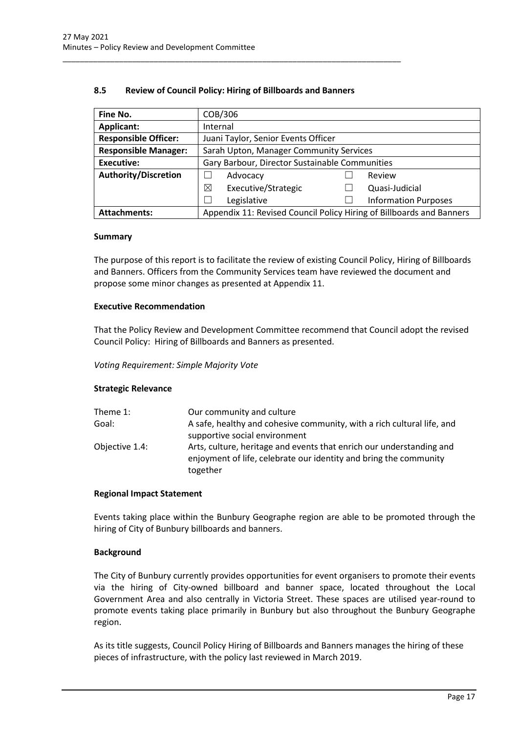### **8.5 Review of Council Policy: Hiring of Billboards and Banners**

<span id="page-17-0"></span>\_\_\_\_\_\_\_\_\_\_\_\_\_\_\_\_\_\_\_\_\_\_\_\_\_\_\_\_\_\_\_\_\_\_\_\_\_\_\_\_\_\_\_\_\_\_\_\_\_\_\_\_\_\_\_\_\_\_\_\_\_\_\_\_\_\_\_\_\_\_\_\_\_\_\_\_\_\_

| Fine No.                    | COB/306                                                              |                             |
|-----------------------------|----------------------------------------------------------------------|-----------------------------|
| Applicant:                  | Internal                                                             |                             |
| <b>Responsible Officer:</b> | Juani Taylor, Senior Events Officer                                  |                             |
| <b>Responsible Manager:</b> | Sarah Upton, Manager Community Services                              |                             |
| <b>Executive:</b>           | Gary Barbour, Director Sustainable Communities                       |                             |
| <b>Authority/Discretion</b> | Advocacy                                                             | Review                      |
|                             | ⊠<br>Executive/Strategic                                             | Quasi-Judicial              |
|                             | Legislative                                                          | <b>Information Purposes</b> |
| <b>Attachments:</b>         | Appendix 11: Revised Council Policy Hiring of Billboards and Banners |                             |

#### **Summary**

The purpose of this report is to facilitate the review of existing Council Policy, Hiring of Billboards and Banners. Officers from the Community Services team have reviewed the document and propose some minor changes as presented at Appendix 11.

#### **Executive Recommendation**

That the Policy Review and Development Committee recommend that Council adopt the revised Council Policy: Hiring of Billboards and Banners as presented.

#### *Voting Requirement: Simple Majority Vote*

#### **Strategic Relevance**

| Theme 1:       | Our community and culture                                                                                                                             |
|----------------|-------------------------------------------------------------------------------------------------------------------------------------------------------|
| Goal:          | A safe, healthy and cohesive community, with a rich cultural life, and<br>supportive social environment                                               |
| Objective 1.4: | Arts, culture, heritage and events that enrich our understanding and<br>enjoyment of life, celebrate our identity and bring the community<br>together |

#### **Regional Impact Statement**

Events taking place within the Bunbury Geographe region are able to be promoted through the hiring of City of Bunbury billboards and banners.

#### **Background**

The City of Bunbury currently provides opportunities for event organisers to promote their events via the hiring of City-owned billboard and banner space, located throughout the Local Government Area and also centrally in Victoria Street. These spaces are utilised year-round to promote events taking place primarily in Bunbury but also throughout the Bunbury Geographe region.

As its title suggests, Council Policy Hiring of Billboards and Banners manages the hiring of these pieces of infrastructure, with the policy last reviewed in March 2019.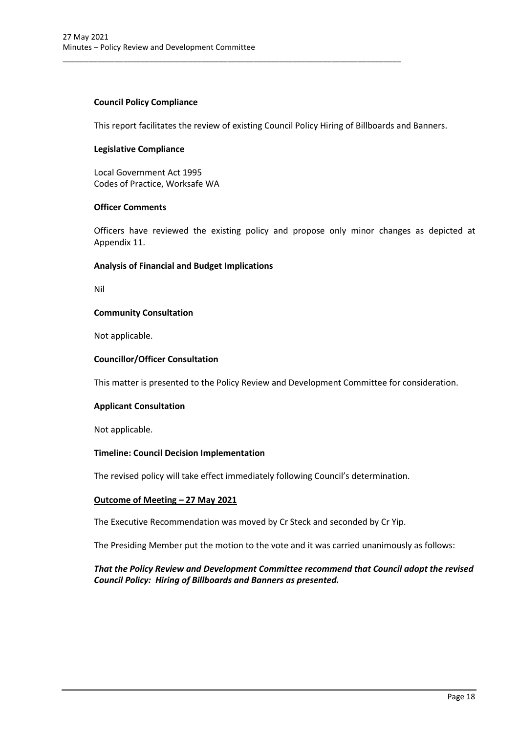# **Council Policy Compliance**

This report facilitates the review of existing Council Policy Hiring of Billboards and Banners.

\_\_\_\_\_\_\_\_\_\_\_\_\_\_\_\_\_\_\_\_\_\_\_\_\_\_\_\_\_\_\_\_\_\_\_\_\_\_\_\_\_\_\_\_\_\_\_\_\_\_\_\_\_\_\_\_\_\_\_\_\_\_\_\_\_\_\_\_\_\_\_\_\_\_\_\_\_\_

#### **Legislative Compliance**

Local Government Act 1995 Codes of Practice, Worksafe WA

#### **Officer Comments**

Officers have reviewed the existing policy and propose only minor changes as depicted at Appendix 11.

#### **Analysis of Financial and Budget Implications**

Nil

#### **Community Consultation**

Not applicable.

#### **Councillor/Officer Consultation**

This matter is presented to the Policy Review and Development Committee for consideration.

#### **Applicant Consultation**

Not applicable.

#### **Timeline: Council Decision Implementation**

The revised policy will take effect immediately following Council's determination.

#### **Outcome of Meeting – 27 May 2021**

The Executive Recommendation was moved by Cr Steck and seconded by Cr Yip.

The Presiding Member put the motion to the vote and it was carried unanimously as follows:

# *That the Policy Review and Development Committee recommend that Council adopt the revised Council Policy: Hiring of Billboards and Banners as presented.*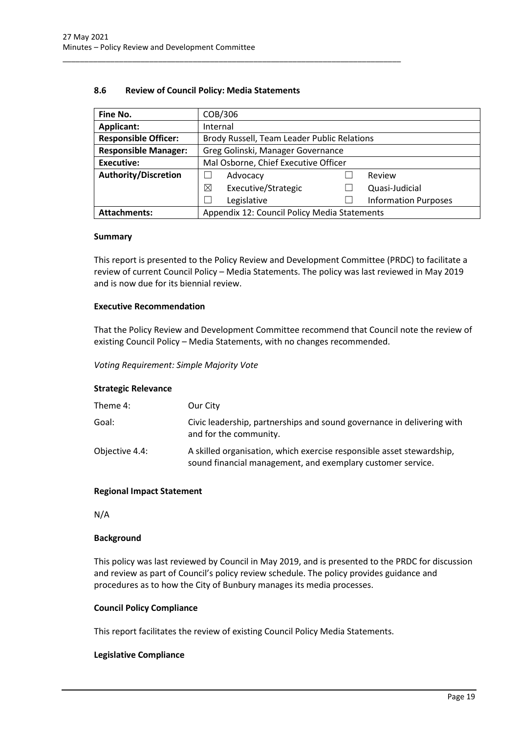#### **8.6 Review of Council Policy: Media Statements**

<span id="page-19-0"></span>\_\_\_\_\_\_\_\_\_\_\_\_\_\_\_\_\_\_\_\_\_\_\_\_\_\_\_\_\_\_\_\_\_\_\_\_\_\_\_\_\_\_\_\_\_\_\_\_\_\_\_\_\_\_\_\_\_\_\_\_\_\_\_\_\_\_\_\_\_\_\_\_\_\_\_\_\_\_

| Fine No.                    | COB/306                                      |                             |
|-----------------------------|----------------------------------------------|-----------------------------|
| Applicant:                  | Internal                                     |                             |
| <b>Responsible Officer:</b> | Brody Russell, Team Leader Public Relations  |                             |
| <b>Responsible Manager:</b> | Greg Golinski, Manager Governance            |                             |
| <b>Executive:</b>           | Mal Osborne, Chief Executive Officer         |                             |
| <b>Authority/Discretion</b> | Advocacy                                     | Review                      |
|                             | Executive/Strategic<br>⊠                     | Quasi-Judicial              |
|                             | Legislative                                  | <b>Information Purposes</b> |
| <b>Attachments:</b>         | Appendix 12: Council Policy Media Statements |                             |

#### **Summary**

This report is presented to the Policy Review and Development Committee (PRDC) to facilitate a review of current Council Policy – Media Statements. The policy was last reviewed in May 2019 and is now due for its biennial review.

# **Executive Recommendation**

That the Policy Review and Development Committee recommend that Council note the review of existing Council Policy – Media Statements, with no changes recommended.

*Voting Requirement: Simple Majority Vote*

#### **Strategic Relevance**

| Theme 4:       | Our City                                                                                                                             |
|----------------|--------------------------------------------------------------------------------------------------------------------------------------|
| Goal:          | Civic leadership, partnerships and sound governance in delivering with<br>and for the community.                                     |
| Objective 4.4: | A skilled organisation, which exercise responsible asset stewardship,<br>sound financial management, and exemplary customer service. |

#### **Regional Impact Statement**

N/A

#### **Background**

This policy was last reviewed by Council in May 2019, and is presented to the PRDC for discussion and review as part of Council's policy review schedule. The policy provides guidance and procedures as to how the City of Bunbury manages its media processes.

#### **Council Policy Compliance**

This report facilitates the review of existing Council Policy Media Statements.

#### **Legislative Compliance**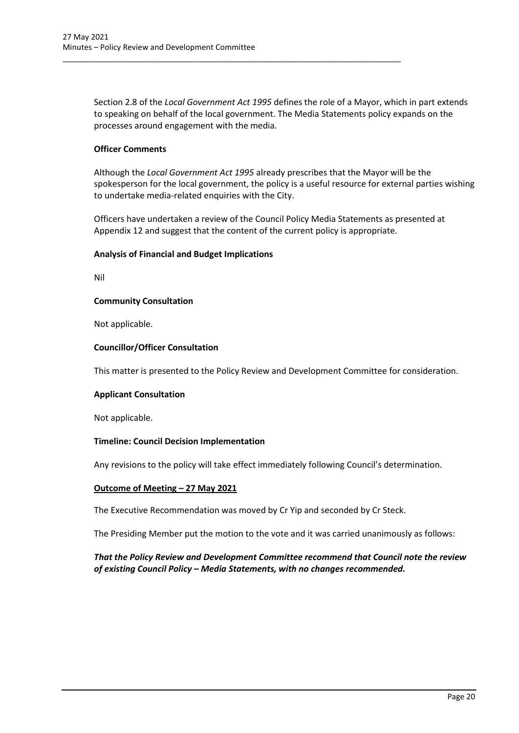Section 2.8 of the *Local Government Act 1995* defines the role of a Mayor, which in part extends to speaking on behalf of the local government. The Media Statements policy expands on the processes around engagement with the media.

\_\_\_\_\_\_\_\_\_\_\_\_\_\_\_\_\_\_\_\_\_\_\_\_\_\_\_\_\_\_\_\_\_\_\_\_\_\_\_\_\_\_\_\_\_\_\_\_\_\_\_\_\_\_\_\_\_\_\_\_\_\_\_\_\_\_\_\_\_\_\_\_\_\_\_\_\_\_

### **Officer Comments**

Although the *Local Government Act 1995* already prescribes that the Mayor will be the spokesperson for the local government, the policy is a useful resource for external parties wishing to undertake media-related enquiries with the City.

Officers have undertaken a review of the Council Policy Media Statements as presented at Appendix 12 and suggest that the content of the current policy is appropriate.

#### **Analysis of Financial and Budget Implications**

Nil

#### **Community Consultation**

Not applicable.

#### **Councillor/Officer Consultation**

This matter is presented to the Policy Review and Development Committee for consideration.

#### **Applicant Consultation**

Not applicable.

#### **Timeline: Council Decision Implementation**

Any revisions to the policy will take effect immediately following Council's determination.

#### **Outcome of Meeting – 27 May 2021**

The Executive Recommendation was moved by Cr Yip and seconded by Cr Steck.

The Presiding Member put the motion to the vote and it was carried unanimously as follows:

# *That the Policy Review and Development Committee recommend that Council note the review of existing Council Policy – Media Statements, with no changes recommended.*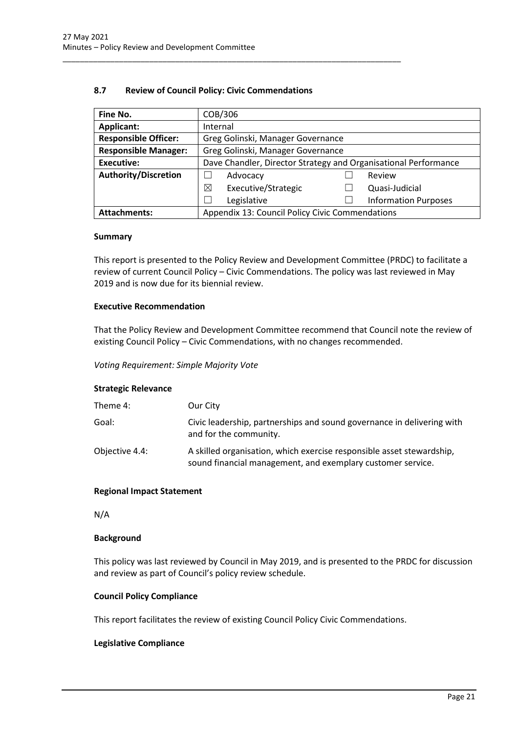| 8.7 | <b>Review of Council Policy: Civic Commendations</b> |
|-----|------------------------------------------------------|
|-----|------------------------------------------------------|

<span id="page-21-0"></span>\_\_\_\_\_\_\_\_\_\_\_\_\_\_\_\_\_\_\_\_\_\_\_\_\_\_\_\_\_\_\_\_\_\_\_\_\_\_\_\_\_\_\_\_\_\_\_\_\_\_\_\_\_\_\_\_\_\_\_\_\_\_\_\_\_\_\_\_\_\_\_\_\_\_\_\_\_\_

| Fine No.                    | COB/306                                                         |                             |
|-----------------------------|-----------------------------------------------------------------|-----------------------------|
| Applicant:                  | Internal                                                        |                             |
| <b>Responsible Officer:</b> | Greg Golinski, Manager Governance                               |                             |
| <b>Responsible Manager:</b> | Greg Golinski, Manager Governance                               |                             |
| <b>Executive:</b>           | Dave Chandler, Director Strategy and Organisational Performance |                             |
| <b>Authority/Discretion</b> | Advocacy                                                        | Review                      |
|                             | Executive/Strategic<br>⊠                                        | Quasi-Judicial              |
|                             | Legislative                                                     | <b>Information Purposes</b> |
| <b>Attachments:</b>         | Appendix 13: Council Policy Civic Commendations                 |                             |

#### **Summary**

This report is presented to the Policy Review and Development Committee (PRDC) to facilitate a review of current Council Policy – Civic Commendations. The policy was last reviewed in May 2019 and is now due for its biennial review.

#### **Executive Recommendation**

That the Policy Review and Development Committee recommend that Council note the review of existing Council Policy – Civic Commendations, with no changes recommended.

*Voting Requirement: Simple Majority Vote*

#### **Strategic Relevance**

| Theme 4:       | Our City                                                                                                                             |
|----------------|--------------------------------------------------------------------------------------------------------------------------------------|
| Goal:          | Civic leadership, partnerships and sound governance in delivering with<br>and for the community.                                     |
| Objective 4.4: | A skilled organisation, which exercise responsible asset stewardship,<br>sound financial management, and exemplary customer service. |

#### **Regional Impact Statement**

N/A

#### **Background**

This policy was last reviewed by Council in May 2019, and is presented to the PRDC for discussion and review as part of Council's policy review schedule.

#### **Council Policy Compliance**

This report facilitates the review of existing Council Policy Civic Commendations.

#### **Legislative Compliance**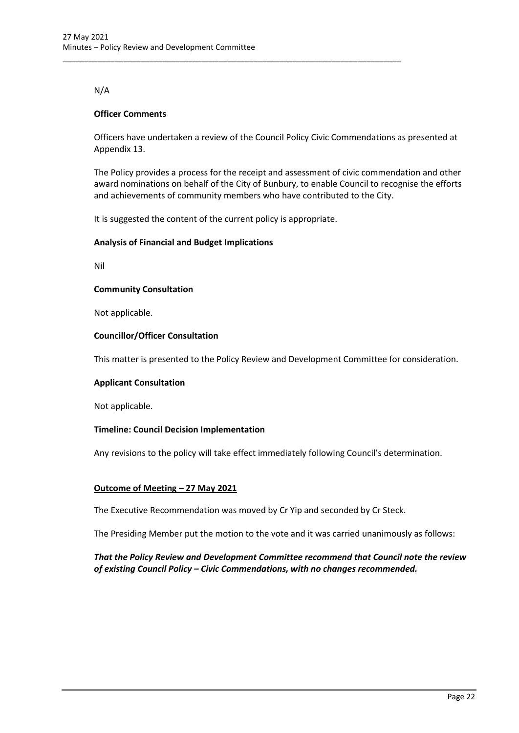# N/A

### **Officer Comments**

Officers have undertaken a review of the Council Policy Civic Commendations as presented at Appendix 13.

The Policy provides a process for the receipt and assessment of civic commendation and other award nominations on behalf of the City of Bunbury, to enable Council to recognise the efforts and achievements of community members who have contributed to the City.

It is suggested the content of the current policy is appropriate.

\_\_\_\_\_\_\_\_\_\_\_\_\_\_\_\_\_\_\_\_\_\_\_\_\_\_\_\_\_\_\_\_\_\_\_\_\_\_\_\_\_\_\_\_\_\_\_\_\_\_\_\_\_\_\_\_\_\_\_\_\_\_\_\_\_\_\_\_\_\_\_\_\_\_\_\_\_\_

### **Analysis of Financial and Budget Implications**

Nil

#### **Community Consultation**

Not applicable.

### **Councillor/Officer Consultation**

This matter is presented to the Policy Review and Development Committee for consideration.

#### **Applicant Consultation**

Not applicable.

#### **Timeline: Council Decision Implementation**

Any revisions to the policy will take effect immediately following Council's determination.

#### **Outcome of Meeting – 27 May 2021**

The Executive Recommendation was moved by Cr Yip and seconded by Cr Steck.

The Presiding Member put the motion to the vote and it was carried unanimously as follows:

*That the Policy Review and Development Committee recommend that Council note the review of existing Council Policy – Civic Commendations, with no changes recommended.*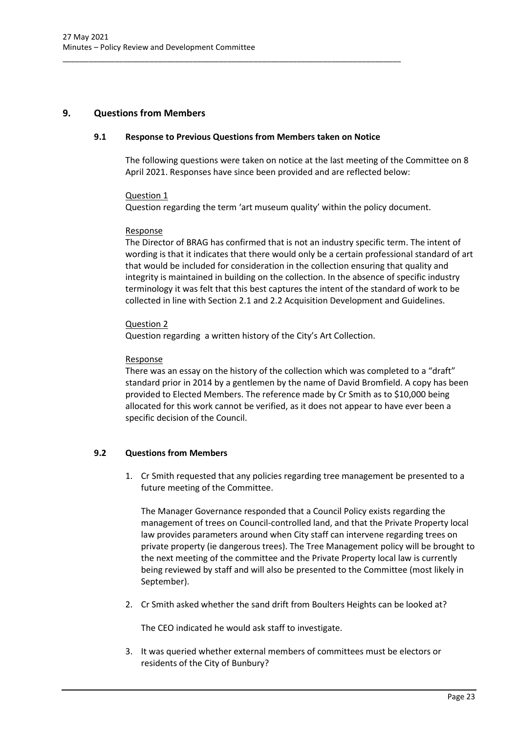# <span id="page-23-1"></span><span id="page-23-0"></span>**9. Questions from Members**

#### **9.1 Response to Previous Questions from Members taken on Notice**

\_\_\_\_\_\_\_\_\_\_\_\_\_\_\_\_\_\_\_\_\_\_\_\_\_\_\_\_\_\_\_\_\_\_\_\_\_\_\_\_\_\_\_\_\_\_\_\_\_\_\_\_\_\_\_\_\_\_\_\_\_\_\_\_\_\_\_\_\_\_\_\_\_\_\_\_\_\_

The following questions were taken on notice at the last meeting of the Committee on 8 April 2021. Responses have since been provided and are reflected below:

### Question 1

Question regarding the term 'art museum quality' within the policy document.

### Response

The Director of BRAG has confirmed that is not an industry specific term. The intent of wording is that it indicates that there would only be a certain professional standard of art that would be included for consideration in the collection ensuring that quality and integrity is maintained in building on the collection. In the absence of specific industry terminology it was felt that this best captures the intent of the standard of work to be collected in line with Section 2.1 and 2.2 Acquisition Development and Guidelines.

# Question 2

Question regarding a written history of the City's Art Collection.

### Response

There was an essay on the history of the collection which was completed to a "draft" standard prior in 2014 by a gentlemen by the name of David Bromfield. A copy has been provided to Elected Members. The reference made by Cr Smith as to \$10,000 being allocated for this work cannot be verified, as it does not appear to have ever been a specific decision of the Council.

# <span id="page-23-2"></span>**9.2 Questions from Members**

1. Cr Smith requested that any policies regarding tree management be presented to a future meeting of the Committee.

The Manager Governance responded that a Council Policy exists regarding the management of trees on Council-controlled land, and that the Private Property local law provides parameters around when City staff can intervene regarding trees on private property (ie dangerous trees). The Tree Management policy will be brought to the next meeting of the committee and the Private Property local law is currently being reviewed by staff and will also be presented to the Committee (most likely in September).

2. Cr Smith asked whether the sand drift from Boulters Heights can be looked at?

The CEO indicated he would ask staff to investigate.

3. It was queried whether external members of committees must be electors or residents of the City of Bunbury?